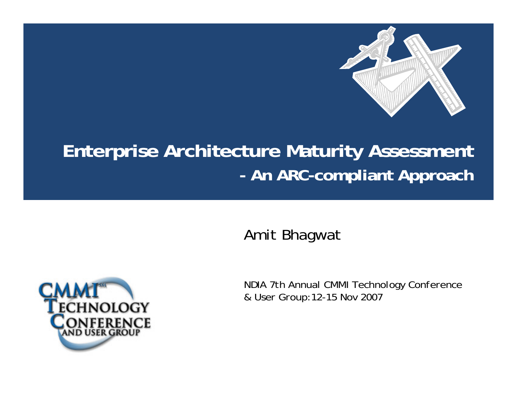

### **Enterprise Architecture Maturity Assessment - An ARC-compliant Approach**

Amit Bhagwat



*NDIA 7th Annual CMMI Technology Conference & User Group:12-15 Nov 2007*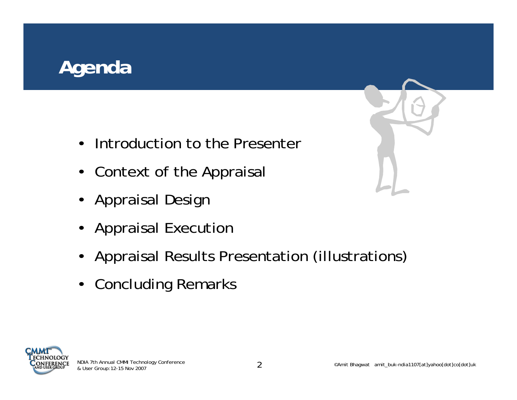

- Introduction to the Presenter
- Context of the Appraisal
- Appraisal Design
- Appraisal Execution
- Appraisal Results Presentation (illustrations)
- Concluding Remarks



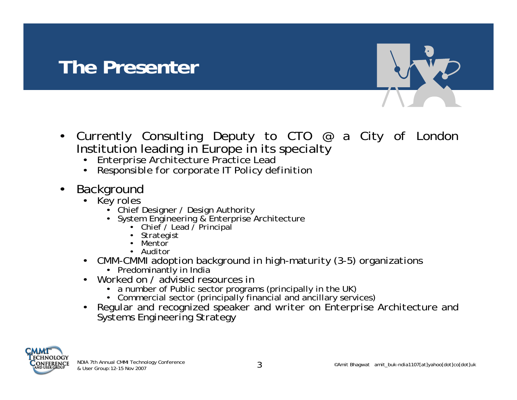# **The Presenter**



- Currently Consulting Deputy to CTO @ a City of London Institution leading in Europe in its specialty
	- *Enterprise Architecture Practice Lead*
	- *Responsible for corporate IT Policy definition*
- **Background** 
	- *Key roles*
		- Chief Designer / Design Authority
		- System Engineering & Enterprise Architecture
			- *Chief / Lead / Principal*
			- *Strategist*
			- *Mentor*
			- *Auditor*
	- *CMM-CMMI adoption background in high-maturity (3-5) organizations*
		- Predominantly in India
	- *Worked on / advised resources in*
		- a number of Public sector programs (principally in the UK)
		- Commercial sector (principally financial and ancillary services)
	- *Regular and recognized speaker and writer on Enterprise Architecture and Systems Engineering Strategy*

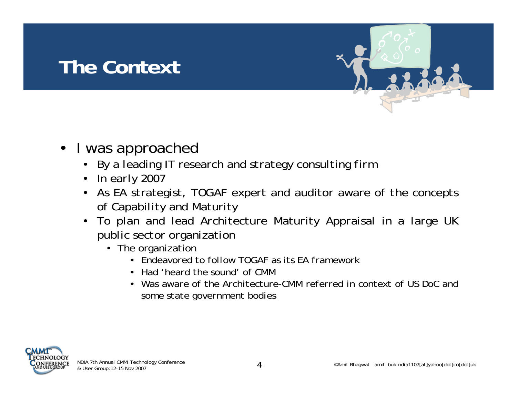# **The Context**



- I was approached
	- *By a leading IT research and strategy consulting firm*
	- *In early 2007*
	- *As EA strategist, TOGAF expert and auditor aware of the concepts of Capability and Maturity*
	- *To plan and lead Architecture Maturity Appraisal in a large UK public sector organization* 
		- The organization
			- *Endeavored to follow TOGAF as its EA framework*
			- *Had 'heard the sound' of CMM*
			- *Was aware of the Architecture-CMM referred in context of US DoC and some state government bodies*

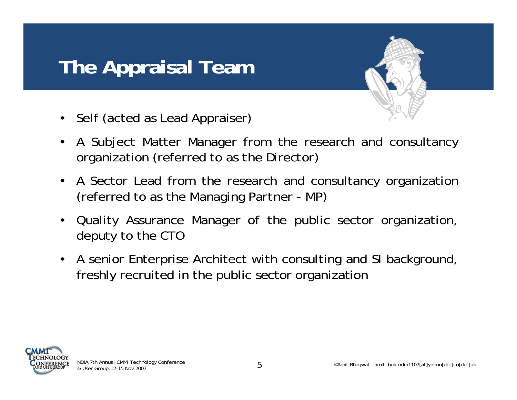# **The Appraisal Team**



- Self (acted as Lead Appraiser)
- A Subject Matter Manager from the research and consultancy organization (referred to as *the Director*)
- A Sector Lead from the research and consultancy organization (referred to as *the Managing Partner - MP*)
- Quality Assurance Manager of the public sector organization, deputy to the CTO
- A senior Enterprise Architect with consulting and SI background, freshly recruited in the public sector organization

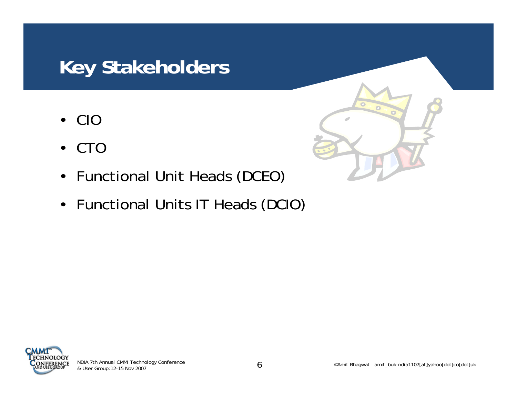# **Key Stakeholders**

- CIO
- CTO
- Functional Unit Heads (DCEO)
- Functional Units IT Heads (DCIO)



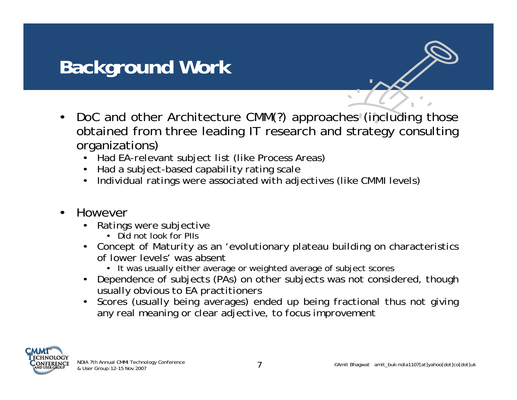



- DoC and other Architecture CMM(?) approaches (including those obtained from three leading IT research and strategy consulting organizations)
	- *Had EA-relevant subject list (like Process Areas)*
	- *Had a subject-based capability rating scale*
	- *Individual ratings were associated with adjectives (like CMMI levels)*
- However
	- *Ratings were subjective*
		- Did not look for PIIs
	- *Concept of Maturity as an 'evolutionary plateau building on characteristics of lower levels' was absent*
		- It was usually either average or weighted average of subject scores
	- *Dependence of subjects (PAs) on other subjects was not considered, though usually obvious to EA practitioners*
	- *Scores (usually being averages) ended up being fractional thus not giving any real meaning or clear adjective, to focus improvement*

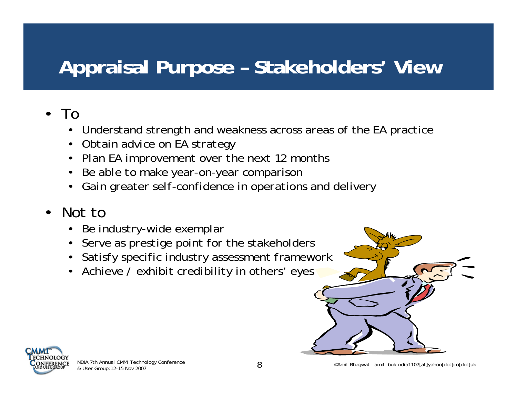# **Appraisal Purpose – Stakeholders' View**

#### • To

- *Understand strength and weakness across areas of the EA practice*
- *Obtain advice on EA strategy*
- *Plan EA improvement over the next 12 months*
- *Be able to make year-on-year comparison*
- *Gain greater self-confidence in operations and delivery*
- Not to
	- *Be industry-wide exemplar*
	- *Serve as prestige point for the stakeholders*
	- *Satisfy specific industry assessment framework*
	- *Achieve / exhibit credibility in others' eyes*



©Amit Bhagwat amit\_buk-ndia1107[at]yahoo[dot]co[dot]uk NDIA 7th Annual CMMI Technology Conference & User Group:12-15 Nov 2007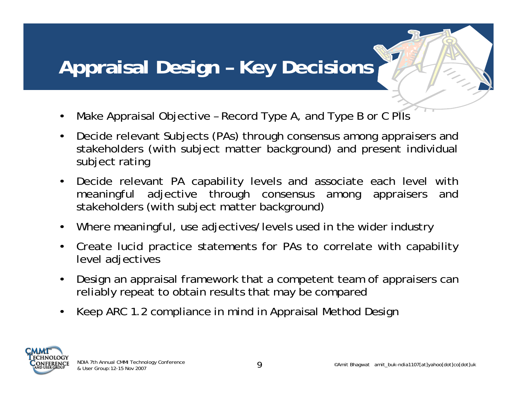# **Appraisal Design – Key Decisions**

- Make Appraisal Objective Record Type A, and Type B or C Plls
- Decide relevant Subjects (PAs) through consensus among appraisers and stakeholders (with subject matter background) and present individual subject rating
- Decide relevant PA capability levels and associate each level with meaningful adjective through consensus among appraisers and stakeholders (with subject matter background)
- Where meaningful, use adjectives/levels used in the wider industry
- Create lucid practice statements for PAs to correlate with capability level adjectives
- Design an appraisal framework that a competent team of appraisers can reliably repeat to obtain results that may be compared
- Keep ARC 1.2 compliance in mind in Appraisal Method Design

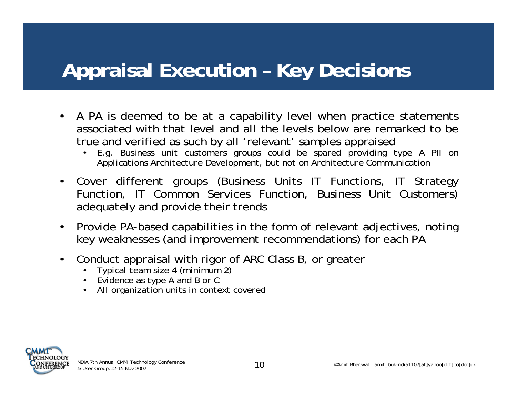# **Appraisal Execution – Key Decisions**

- A PA is deemed to be at a capability level when practice statements associated with that level and all the levels below are remarked to be true and verified as such by all 'relevant' samples appraised
	- *E.g. Business unit customers groups could be spared providing type A PII on Applications Architecture Development, but not on Architecture Communication*
- Cover different groups (Business Units IT Functions, IT Strategy Function, IT Common Services Function, Business Unit Customers) adequately and provide their trends
- Provide PA-based capabilities in the form of relevant adjectives, noting key weaknesses (and improvement recommendations) for each PA
- Conduct appraisal with rigor of ARC Class B, or greater
	- *Typical team size 4 (minimum 2)*
	- *Evidence as type A and B or C*
	- *All organization units in context covered*



NDIA 7th Annual CMMI Technology Conference and the state of the state of the state of the SAMI Technology Conference and the state of the SAMI Technology Conference and the state of the SAMI Technology Conference and the S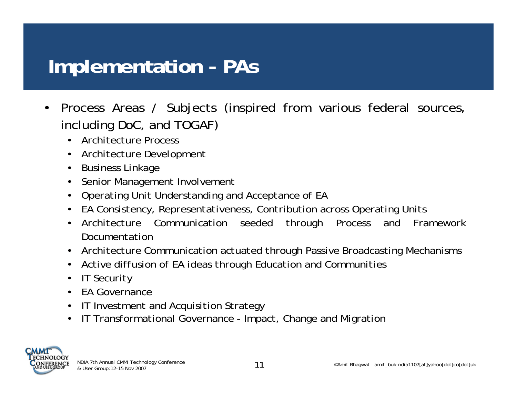# **Implementation - PAs**

- Process Areas / Subjects (inspired from various federal sources, including DoC, and TOGAF)
	- *Architecture Process*
	- *Architecture Development*
	- *Business Linkage*
	- *Senior Management Involvement*
	- *Operating Unit Understanding and Acceptance of EA*
	- *EA Consistency, Representativeness, Contribution across Operating Units*
	- *Architecture Communication seeded through Process and Framework Documentation*
	- *Architecture Communication actuated through Passive Broadcasting Mechanisms*
	- *Active diffusion of EA ideas through Education and Communities*
	- *IT Security*
	- *EA Governance*
	- *IT Investment and Acquisition Strategy*
	- *IT Transformational Governance Impact, Change and Migration*

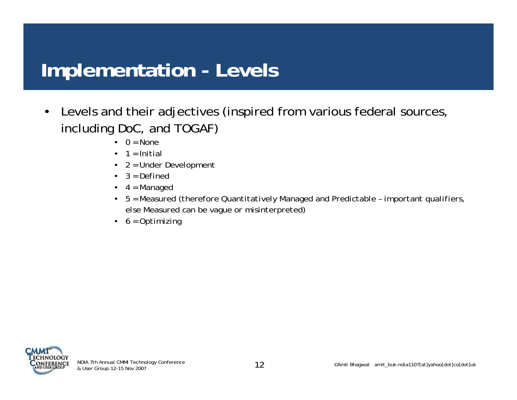# **Implementation - Levels**

- Levels and their adjectives (inspired from various federal sources, including DoC, and TOGAF)
	- *0 = None*
	- *1 = Initial*
	- *2 = Under Development*
	- *3 = Defined*
	- *4 = Managed*
	- *5 = Measured (therefore Quantitatively Managed and Predictable important qualifiers, else Measured can be vague or misinterpreted)*
	- *6 = Optimizing*

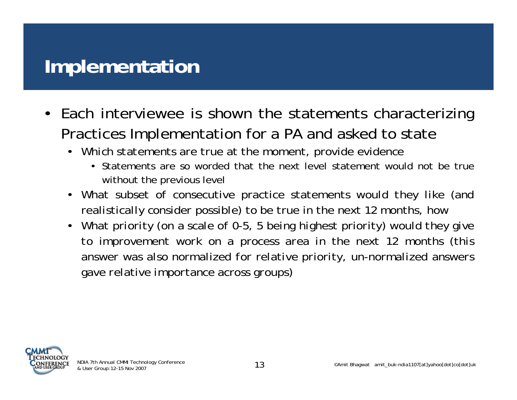# **Implementation**

- Each interviewee is shown the statements characterizing Practices Implementation for a PA and asked to state
	- *Which statements are true at the moment, provide evidence*
		- Statements are so worded that the next level statement would not be true without the previous level
	- *What subset of consecutive practice statements would they like (and realistically consider possible) to be true in the next 12 months, how*
	- *What priority (on a scale of 0-5, 5 being highest priority) would they give to improvement work on a process area in the next 12 months (this answer was also normalized for relative priority, un-normalized answers gave relative importance across groups)*

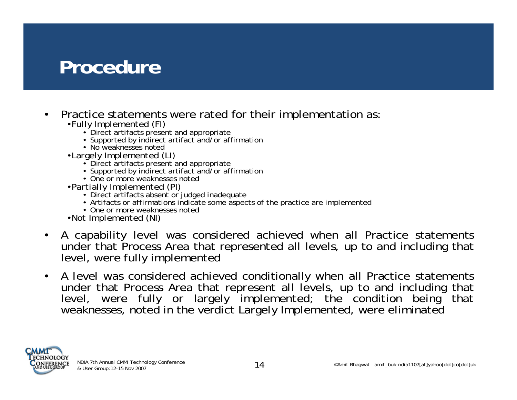# **Procedure**

- Practice statements were rated for their implementation as:
	- •*Fully Implemented (FI)*
		- Direct artifacts present and appropriate
		- Supported by indirect artifact and/or affirmation
		- No weaknesses noted
	- •*Largely Implemented (LI)*
		- Direct artifacts present and appropriate
		- Supported by indirect artifact and/or affirmation
		- One or more weaknesses noted
	- •*Partially Implemented (PI)*
		- Direct artifacts absent or judged inadequate
		- Artifacts or affirmations indicate some aspects of the practice are implemented
		- One or more weaknesses noted
	- •*Not Implemented (NI)*
- A capability level was considered achieved when all Practice statements under that Process Area that represented all levels, up to and including that level, were fully implemented
- A level was considered achieved conditionally when all Practice statements under that Process Area that represent all levels, up to and including that level, were fully or largely implemented; the condition being that weaknesses, noted in the verdict *Largely Implemented*, were eliminated

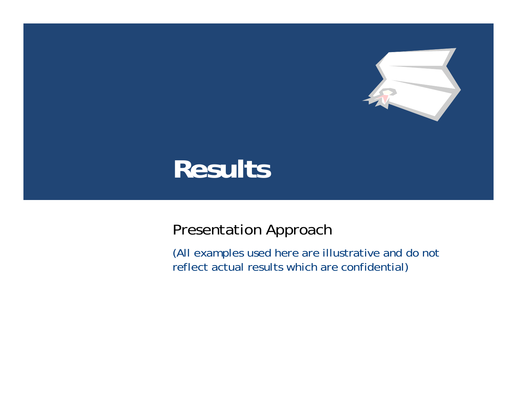

# **Results**

#### Presentation Approach

(All examples used here are illustrative and do not reflect actual results which are confidential)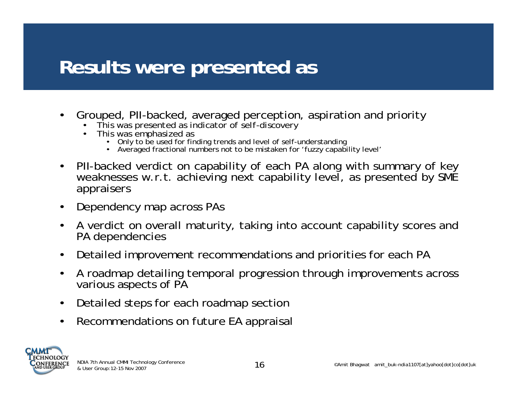# **Results were presented as**

- Grouped, PII-backed, averaged perception, aspiration and priority
	- *This was presented as indicator of self-discovery*
	- *This was emphasized as*
		- Only to be used for finding trends and level of self-understanding
		- Averaged fractional numbers not to be mistaken for 'fuzzy capability level'
- PII-backed verdict on capability of each PA along with summary of key weaknesses w.r.t. achieving next capability level, as presented by SME appraisers
- Dependency map across PAs
- A verdict on overall maturity, taking into account capability scores and PA dependencies
- Detailed improvement recommendations and priorities for each PA
- A roadmap detailing temporal progression through improvements across various aspects of PA
- Detailed steps for each roadmap section
- Recommendations on future EA appraisal

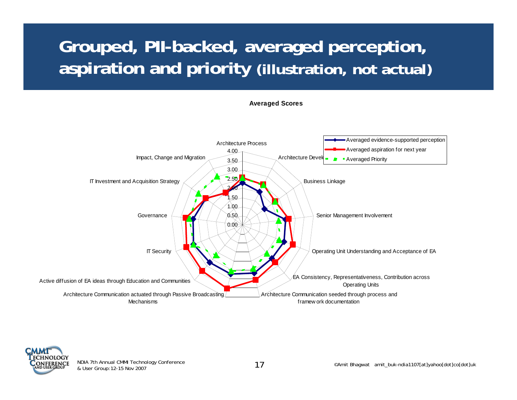### **Grouped, PII-backed, averaged perception, aspiration and priority (illustration, not actual)**

**Averaged Scores**





NDIA 7th Annual CMMI Technology Conference and the state of the state of the Samit Bhagwat amit\_buk-ndia1107[at]yahoo[dot]co[dot]uk & User Group:12-15 Nov 2007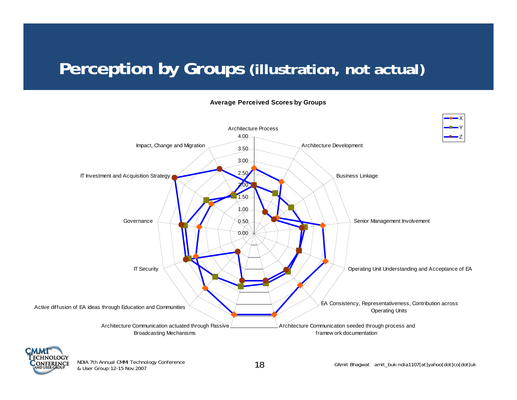#### **Perception by Groups (illustration, not actual)**

**Average Perceived Scores by Groups**





NDIA 7th Annual CMMI Technology Conference<br>
& User Group:12-15 Nov 2007<br>
& User Group:12-15 Nov 2007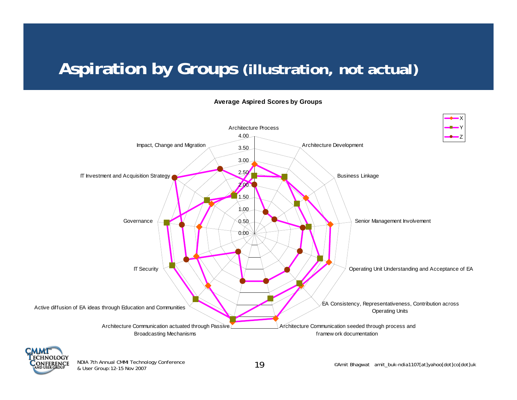### **Aspiration by Groups (illustration, not actual)**







NDIA 7th Annual CMMI Technology Conference and the state of the state of the state of the SAMI Technology Conference and the state of the SAMI Technology Conference and the state of the SAMI Technology Conference and the S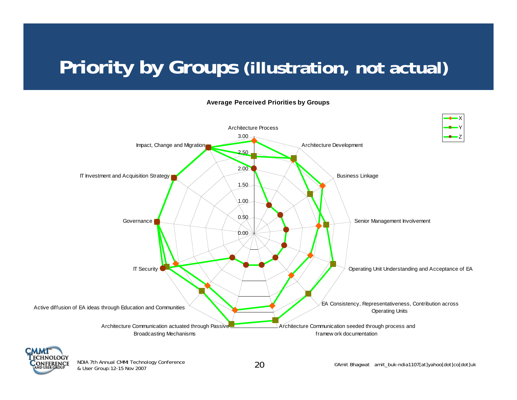# **Priority by Groups (illustration, not actual)**

#### **Average Perceived Priorities by Groups**





NDIA 7th Annual CMMI Technology Conference<br>& User Group:12-15 Nov 2007<br>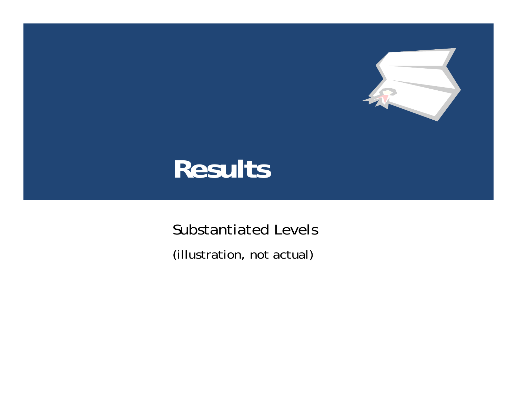

# **Results**

Substantiated Levels (illustration, not actual)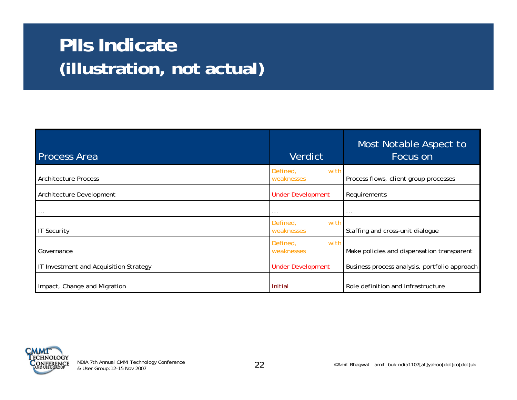# **PIIs Indicate (illustration, not actual)**

| <b>Process Area</b>                    | Verdict                        | Most Notable Aspect to<br>Focus on            |
|----------------------------------------|--------------------------------|-----------------------------------------------|
| <b>Architecture Process</b>            | Defined,<br>with<br>weaknesses | Process flows, client group processes         |
| Architecture Development               | <b>Under Development</b>       | Requirements                                  |
| $\cdots$                               | $\cdots$                       | $\cdots$                                      |
| <b>IT Security</b>                     | with<br>Defined,<br>weaknesses | Staffing and cross-unit dialogue              |
| Governance                             | with<br>Defined.<br>weaknesses | Make policies and dispensation transparent    |
| IT Investment and Acquisition Strategy | <b>Under Development</b>       | Business process analysis, portfolio approach |
| Impact, Change and Migration           | Initial                        | Role definition and Infrastructure            |

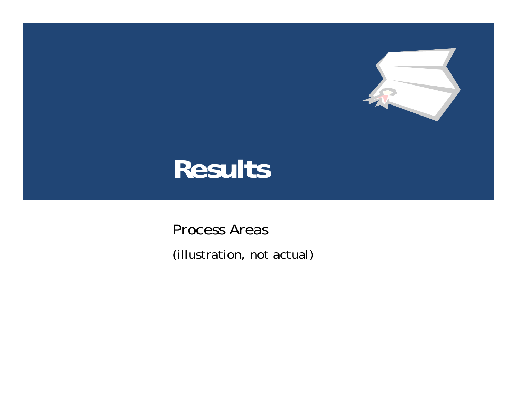

# **Results**

Process Areas (illustration, not actual)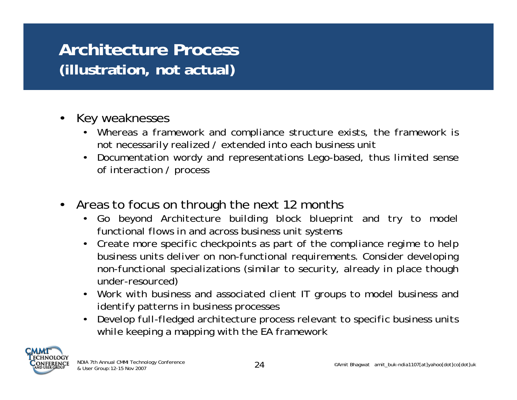#### **Architecture Process (illustration, not actual)**

- Key weaknesses
	- *Whereas a framework and compliance structure exists, the framework is not necessarily realized / extended into each business unit*
	- *Documentation wordy and representations Lego-based, thus limited sense of interaction / process*
- Areas to focus on through the next 12 months
	- *Go beyond Architecture building block blueprint and try to model functional flows in and across business unit systems*
	- *Create more specific checkpoints as part of the compliance regime to help business units deliver on non-functional requirements. Consider developing non-functional specializations (similar to security, already in place though under-resourced)*
	- *Work with business and associated client IT groups to model business and identify patterns in business processes*
	- *Develop full-fledged architecture process relevant to specific business units while keeping a mapping with the EA framework*

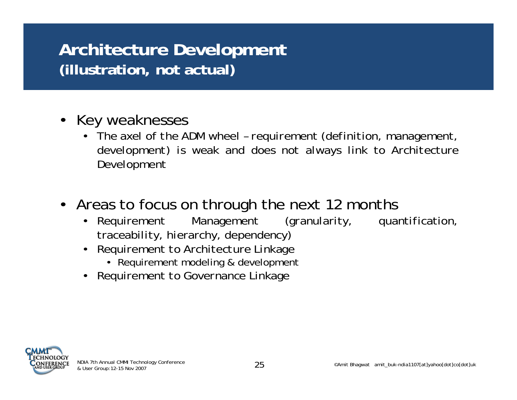#### **Architecture Development (illustration, not actual)**

- Key weaknesses
	- *The axel of the ADM wheel requirement (definition, management, development) is weak and does not always link to Architecture Development*
- Areas to focus on through the next 12 months
	- *Requirement Management (granularity, quantification, traceability, hierarchy, dependency)*
	- *Requirement to Architecture Linkage*
		- Requirement modeling & development
	- *Requirement to Governance Linkage*



NDIA 7th Annual CMMI Technology Conference  $25$   $25$  expanding the Magwat amit\_buk-ndia1107[at]yahoo[dot]co[dot]uk  $\,$  8 User Group:12-15 Nov 2007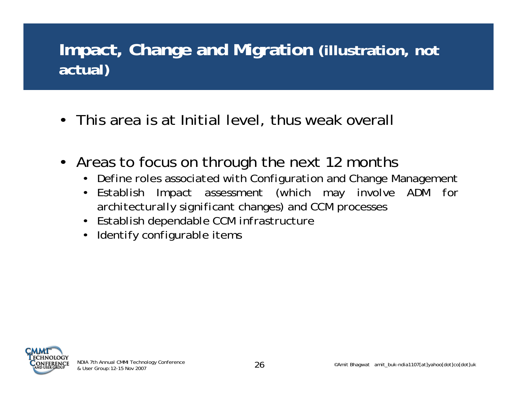#### **Impact, Change and Migration (illustration, not actual)**

- This area is at Initial level, thus weak overall
- Areas to focus on through the next 12 months
	- *Define roles associated with Configuration and Change Management*
	- *Establish Impact assessment (which may involve ADM for architecturally significant changes) and CCM processes*
	- *Establish dependable CCM infrastructure*
	- *Identify configurable items*

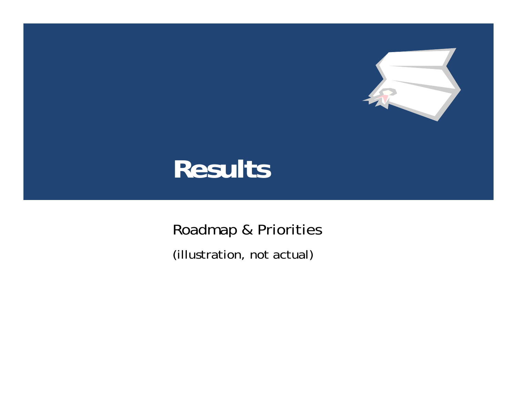

# **Results**

Roadmap & Priorities (illustration, not actual)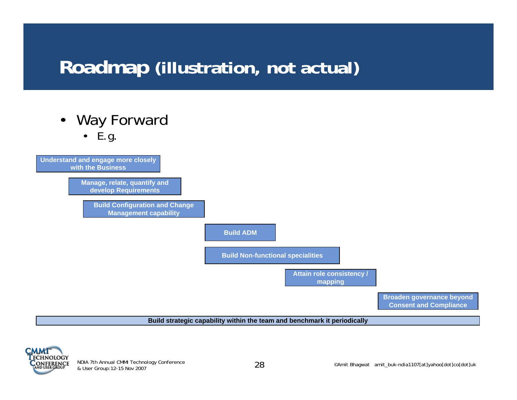# **Roadmap (illustration, not actual)**







#### **Build strategic capability within the team and benchmark it periodically**



NDIA 7th Annual CMMI Technology Conference<br>& User Group:12-15 Nov 2007<br>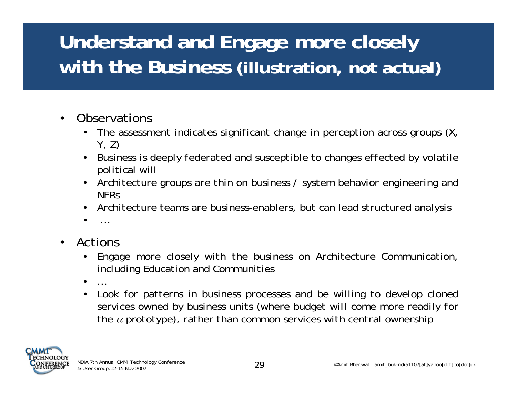# **Understand and Engage more closely with the Business (illustration, not actual)**

- **Observations** 
	- *The assessment indicates significant change in perception across groups (X, Y, Z)*
	- *Business is deeply federated and susceptible to changes effected by volatile political will*
	- *Architecture groups are thin on business / system behavior engineering and NFRs*
	- *Architecture teams are business-enablers, but can lead structured analysis*
	- *…*
- Actions
	- *Engage more closely with the business on Architecture Communication, including Education and Communities*
	- *…*
	- *Look for patterns in business processes and be willing to develop cloned services owned by business units (where budget will come more readily for the* α *prototype), rather than common services with central ownership*

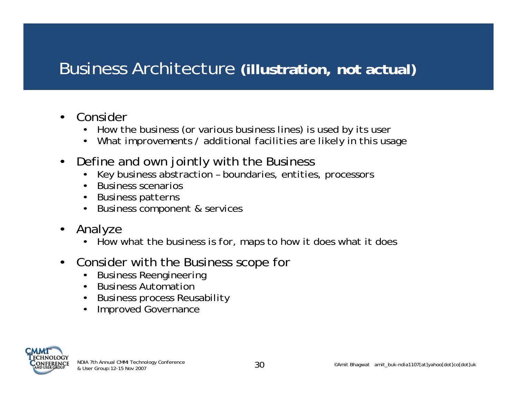#### Business Architecture **(illustration, not actual)**

- Consider
	- *How the business (or various business lines) is used by its user*
	- *What improvements / additional facilities are likely in this usage*
- Define and own jointly with the Business
	- *Key business abstraction boundaries, entities, processors*
	- *Business scenarios*
	- *Business patterns*
	- *Business component & services*
- Analyze
	- *How what the business is for, maps to how it does what it does*
- Consider with the Business scope for
	- *Business Reengineering*
	- *Business Automation*
	- *Business process Reusability*
	- *Improved Governance*

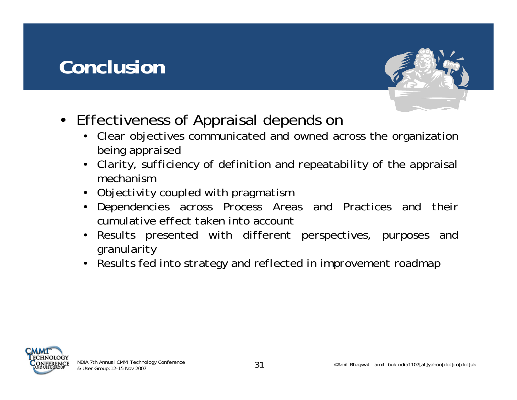# **Conclusion**



- Effectiveness of Appraisal depends on
	- *Clear objectives communicated and owned across the organization being appraised*
	- *Clarity, sufficiency of definition and repeatability of the appraisal mechanism*
	- *Objectivity coupled with pragmatism*
	- *Dependencies across Process Areas and Practices and their cumulative effect taken into account*
	- *Results presented with different perspectives, purposes and granularity*
	- *Results fed into strategy and reflected in improvement roadmap*